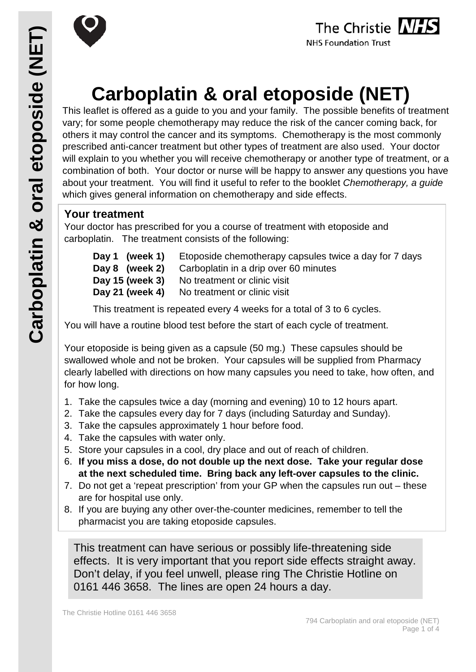



# **Carboplatin & oral etoposide (NET)**

This leaflet is offered as a guide to you and your family. The possible benefits of treatment vary; for some people chemotherapy may reduce the risk of the cancer coming back, for others it may control the cancer and its symptoms. Chemotherapy is the most commonly prescribed anti-cancer treatment but other types of treatment are also used. Your doctor will explain to you whether you will receive chemotherapy or another type of treatment, or a combination of both. Your doctor or nurse will be happy to answer any questions you have about your treatment. You will find it useful to refer to the booklet *Chemotherapy, a guide* which gives general information on chemotherapy and side effects.

### **Your treatment**

Your doctor has prescribed for you a course of treatment with etoposide and carboplatin. The treatment consists of the following:

| Day 1 (week 1)  | Etoposide chemotherapy capsules twice a day for 7 days |
|-----------------|--------------------------------------------------------|
| Day 8 (week 2)  | Carboplatin in a drip over 60 minutes                  |
| Day 15 (week 3) | No treatment or clinic visit                           |
|                 | <b>Day 21 (week 4)</b> No treatment or clinic visit    |

This treatment is repeated every 4 weeks for a total of 3 to 6 cycles.

You will have a routine blood test before the start of each cycle of treatment.

Your etoposide is being given as a capsule (50 mg.) These capsules should be swallowed whole and not be broken. Your capsules will be supplied from Pharmacy clearly labelled with directions on how many capsules you need to take, how often, and for how long.

- 1. Take the capsules twice a day (morning and evening) 10 to 12 hours apart.
- 2. Take the capsules every day for 7 days (including Saturday and Sunday).
- 3. Take the capsules approximately 1 hour before food.
- 4. Take the capsules with water only.
- 5. Store your capsules in a cool, dry place and out of reach of children.
- 6. **If you miss a dose, do not double up the next dose. Take your regular dose at the next scheduled time. Bring back any left-over capsules to the clinic.**
- 7. Do not get a 'repeat prescription' from your GP when the capsules run out these are for hospital use only.
- 8. If you are buying any other over-the-counter medicines, remember to tell the pharmacist you are taking etoposide capsules.

This treatment can have serious or possibly life-threatening side effects. It is very important that you report side effects straight away. Don't delay, if you feel unwell, please ring The Christie Hotline on 0161 446 3658. The lines are open 24 hours a day.

I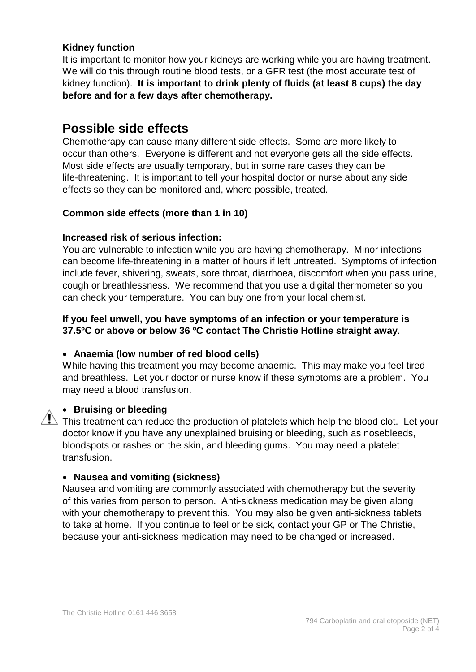#### **Kidney function**

It is important to monitor how your kidneys are working while you are having treatment. We will do this through routine blood tests, or a GFR test (the most accurate test of kidney function). **It is important to drink plenty of fluids (at least 8 cups) the day before and for a few days after chemotherapy.**

## **Possible side effects**

Chemotherapy can cause many different side effects. Some are more likely to occur than others. Everyone is different and not everyone gets all the side effects. Most side effects are usually temporary, but in some rare cases they can be life-threatening. It is important to tell your hospital doctor or nurse about any side effects so they can be monitored and, where possible, treated.

#### **Common side effects (more than 1 in 10)**

#### **Increased risk of serious infection:**

You are vulnerable to infection while you are having chemotherapy. Minor infections can become life-threatening in a matter of hours if left untreated. Symptoms of infection include fever, shivering, sweats, sore throat, diarrhoea, discomfort when you pass urine, cough or breathlessness. We recommend that you use a digital thermometer so you can check your temperature. You can buy one from your local chemist.

#### **If you feel unwell, you have symptoms of an infection or your temperature is 37.5ºC or above or below 36 ºC contact The Christie Hotline straight away**.

#### • **Anaemia (low number of red blood cells)**

While having this treatment you may become anaemic. This may make you feel tired and breathless. Let your doctor or nurse know if these symptoms are a problem. You may need a blood transfusion.

#### • **Bruising or bleeding**

 $\sum$  This treatment can reduce the production of platelets which help the blood clot. Let your doctor know if you have any unexplained bruising or bleeding, such as nosebleeds, bloodspots or rashes on the skin, and bleeding gums. You may need a platelet transfusion.

#### • **Nausea and vomiting (sickness)**

Nausea and vomiting are commonly associated with chemotherapy but the severity of this varies from person to person. Anti-sickness medication may be given along with your chemotherapy to prevent this. You may also be given anti-sickness tablets to take at home. If you continue to feel or be sick, contact your GP or The Christie, because your anti-sickness medication may need to be changed or increased.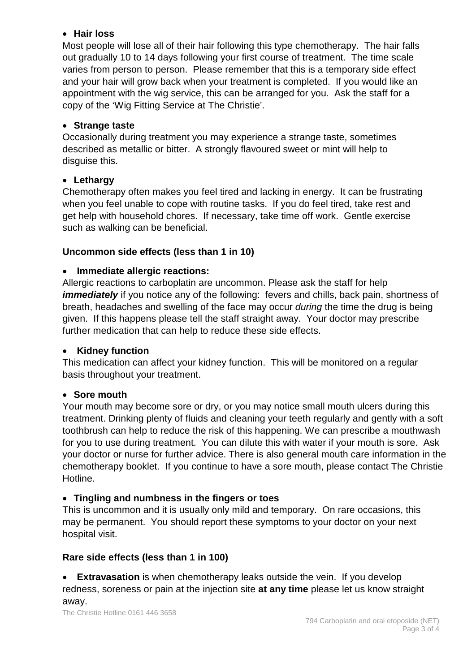#### • **Hair loss**

Most people will lose all of their hair following this type chemotherapy. The hair falls out gradually 10 to 14 days following your first course of treatment. The time scale varies from person to person. Please remember that this is a temporary side effect and your hair will grow back when your treatment is completed. If you would like an appointment with the wig service, this can be arranged for you. Ask the staff for a copy of the 'Wig Fitting Service at The Christie'.

#### • **Strange taste**

Occasionally during treatment you may experience a strange taste, sometimes described as metallic or bitter. A strongly flavoured sweet or mint will help to disguise this.

#### • **Lethargy**

Chemotherapy often makes you feel tired and lacking in energy. It can be frustrating when you feel unable to cope with routine tasks. If you do feel tired, take rest and get help with household chores. If necessary, take time off work. Gentle exercise such as walking can be beneficial.

#### **Uncommon side effects (less than 1 in 10)**

#### • **Immediate allergic reactions:**

Allergic reactions to carboplatin are uncommon. Please ask the staff for help *immediately* if you notice any of the following: fevers and chills, back pain, shortness of breath, headaches and swelling of the face may occur *during* the time the drug is being given. If this happens please tell the staff straight away. Your doctor may prescribe further medication that can help to reduce these side effects.

#### • **Kidney function**

This medication can affect your kidney function. This will be monitored on a regular basis throughout your treatment.

#### • **Sore mouth**

Your mouth may become sore or dry, or you may notice small mouth ulcers during this treatment. Drinking plenty of fluids and cleaning your teeth regularly and gently with a soft toothbrush can help to reduce the risk of this happening. We can prescribe a mouthwash for you to use during treatment. You can dilute this with water if your mouth is sore. Ask your doctor or nurse for further advice. There is also general mouth care information in the chemotherapy booklet. If you continue to have a sore mouth, please contact The Christie Hotline.

#### • **Tingling and numbness in the fingers or toes**

This is uncommon and it is usually only mild and temporary. On rare occasions, this may be permanent. You should report these symptoms to your doctor on your next hospital visit.

#### **Rare side effects (less than 1 in 100)**

**Extravasation** is when chemotherapy leaks outside the vein. If you develop redness, soreness or pain at the injection site **at any time** please let us know straight away.